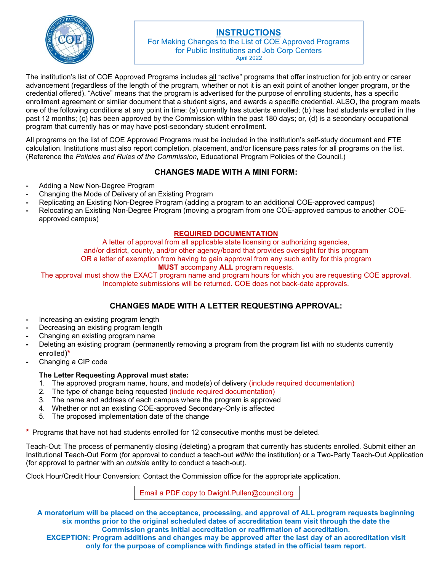

# **INSTRUCTIONS**

For Making Changes to the List of COE Approved Programs for Public Institutions and Job Corp Centers April 2022

The institution's list of COE Approved Programs includes all "active" programs that offer instruction for job entry or career advancement (regardless of the length of the program, whether or not it is an exit point of another longer program, or the credential offered). "Active" means that the program is advertised for the purpose of enrolling students, has a specific enrollment agreement or similar document that a student signs, and awards a specific credential. ALSO, the program meets one of the following conditions at any point in time: (a) currently has students enrolled; (b) has had students enrolled in the past 12 months; (c) has been approved by the Commission within the past 180 days; or, (d) is a secondary occupational program that currently has or may have post-secondary student enrollment.

All programs on the list of COE Approved Programs must be included in the institution's self-study document and FTE calculation. Institutions must also report completion, placement, and/or licensure pass rates for all programs on the list. (Reference the *Policies and Rules of the Commission*, Educational Program Policies of the Council.)

# **CHANGES MADE WITH A MINI FORM:**

- Adding a New Non-Degree Program
- Changing the Mode of Delivery of an Existing Program
- Replicating an Existing Non-Degree Program (adding a program to an additional COE-approved campus)
- Relocating an Existing Non-Degree Program (moving a program from one COE-approved campus to another COEapproved campus)

## **REQUIRED DOCUMENTATION**

A letter of approval from all applicable state licensing or authorizing agencies, and/or district, county, and/or other agency/board that provides oversight for this program OR a letter of exemption from having to gain approval from any such entity for this program **MUST** accompany **ALL** program requests.

The approval must show the EXACT program name and program hours for which you are requesting COE approval. Incomplete submissions will be returned. COE does not back-date approvals.

# **CHANGES MADE WITH A LETTER REQUESTING APPROVAL:**

- Increasing an existing program length
- Decreasing an existing program length
- Changing an existing program name
- Deleting an existing program (permanently removing a program from the program list with no students currently enrolled)**\***
- Changing a CIP code

## **The Letter Requesting Approval must state:**

- 1. The approved program name, hours, and mode(s) of delivery (include required documentation)
- 2. The type of change being requested (include required documentation)
- 3. The name and address of each campus where the program is approved
- 4. Whether or not an existing COE-approved Secondary-Only is affected
- 5. The proposed implementation date of the change

**\*** Programs that have not had students enrolled for 12 consecutive months must be deleted.

Teach-Out: The process of permanently closing (deleting) a program that currently has students enrolled. Submit either an Institutional Teach-Out Form (for approval to conduct a teach-out *within* the institution) or a Two-Party Teach-Out Application (for approval to partner with an *outside* entity to conduct a teach-out).

Clock Hour/Credit Hour Conversion: Contact the Commission office for the appropriate application.

Email a PDF copy to Dwight.Pullen@council.org

**A moratorium will be placed on the acceptance, processing, and approval of ALL program requests beginning six months prior to the original scheduled dates of accreditation team visit through the date the Commission grants initial accreditation or reaffirmation of accreditation.** 

**EXCEPTION: Program additions and changes may be approved after the last day of an accreditation visit only for the purpose of compliance with findings stated in the official team report.**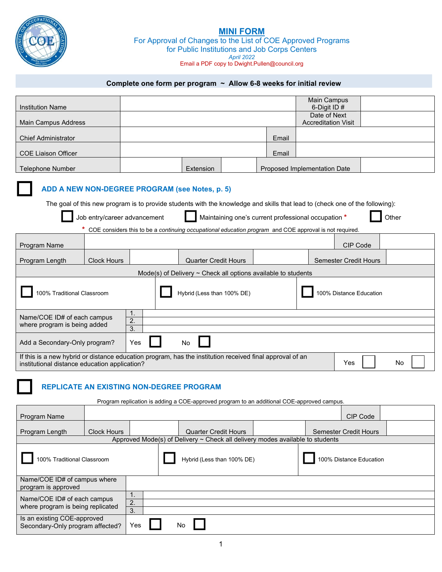

# **MINI FORM**

For Approval of Changes to the List of COE Approved Programs for Public Institutions and Job Corps Centers *April 2022* Email a PDF copy to Dwight.Pullen@council.org

## **Complete one form per program ~ Allow 6-8 weeks for initial review**

| <b>Institution Name</b>    |           |       | Main Campus<br>6-Digit ID $#$ |  |
|----------------------------|-----------|-------|-------------------------------|--|
|                            |           |       | Date of Next                  |  |
| Main Campus Address        |           |       | <b>Accreditation Visit</b>    |  |
|                            |           |       |                               |  |
| <b>Chief Administrator</b> |           | Email |                               |  |
|                            |           |       |                               |  |
| <b>COE Liaison Officer</b> |           | Email |                               |  |
|                            |           |       |                               |  |
| Telephone Number           | Extension |       | Proposed Implementation Date  |  |

#### **ADD A NEW NON-DEGREE PROGRAM (see Notes, p. 5)**

The goal of this new program is to provide students with the knowledge and skills that lead to (check one of the following):

| Job entry/career advancement |
|------------------------------|
|------------------------------|

Maintaining one's current professional occupation **\* Definition** Other

**\*** COE considers this to be a *continuing occupational education program* and COE approval is not required.

| <b>Program Name</b>                                                                 |                                                                                                                                                                        |     |  |    |                             |                                                                    |  | CIP Code                     |  |
|-------------------------------------------------------------------------------------|------------------------------------------------------------------------------------------------------------------------------------------------------------------------|-----|--|----|-----------------------------|--------------------------------------------------------------------|--|------------------------------|--|
| Program Length                                                                      | <b>Clock Hours</b>                                                                                                                                                     |     |  |    | <b>Quarter Credit Hours</b> |                                                                    |  | <b>Semester Credit Hours</b> |  |
|                                                                                     |                                                                                                                                                                        |     |  |    |                             | Mode(s) of Delivery $\sim$ Check all options available to students |  |                              |  |
| Hybrid (Less than 100% DE)<br>100% Distance Education<br>100% Traditional Classroom |                                                                                                                                                                        |     |  |    |                             |                                                                    |  |                              |  |
| 1.<br>Name/COE ID# of each campus<br>2.<br>where program is being added<br>3.       |                                                                                                                                                                        |     |  |    |                             |                                                                    |  |                              |  |
| Add a Secondary-Only program?                                                       |                                                                                                                                                                        | Yes |  | No |                             |                                                                    |  |                              |  |
|                                                                                     | If this is a new hybrid or distance education program, has the institution received final approval of an<br>Yes<br>No<br>institutional distance education application? |     |  |    |                             |                                                                    |  |                              |  |

# **REPLICATE AN EXISTING NON-DEGREE PROGRAM**

Program replication is adding a COE-approved program to an additional COE-approved campus.

| <b>Program Name</b>                                              |                    |    |                                                                                    |  | CIP Code                |  |
|------------------------------------------------------------------|--------------------|----|------------------------------------------------------------------------------------|--|-------------------------|--|
| Program Length                                                   | <b>Clock Hours</b> |    | <b>Quarter Credit Hours</b>                                                        |  | Semester Credit Hours   |  |
|                                                                  |                    |    | Approved Mode(s) of Delivery $\sim$ Check all delivery modes available to students |  |                         |  |
| 100% Traditional Classroom                                       |                    |    | Hybrid (Less than 100% DE)                                                         |  | 100% Distance Education |  |
| Name/COE ID# of campus where<br>program is approved              |                    |    |                                                                                    |  |                         |  |
| Name/COE ID# of each campus<br>where program is being replicated |                    | 2. |                                                                                    |  |                         |  |
| Is an existing COE-approved<br>Secondary-Only program affected?  | 3.<br>Yes          | No |                                                                                    |  |                         |  |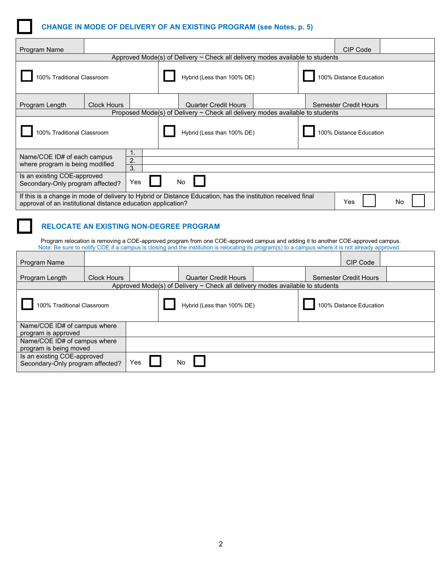

| Program Name                                                    |                    |                                                                               |                            |                                                                                                             |  |  | CIP Code                     |    |
|-----------------------------------------------------------------|--------------------|-------------------------------------------------------------------------------|----------------------------|-------------------------------------------------------------------------------------------------------------|--|--|------------------------------|----|
|                                                                 |                    | Approved Mode(s) of Delivery ~ Check all delivery modes available to students |                            |                                                                                                             |  |  |                              |    |
| 100% Traditional Classroom                                      |                    |                                                                               | Hybrid (Less than 100% DE) |                                                                                                             |  |  | 100% Distance Education      |    |
| Program Length                                                  | <b>Clock Hours</b> |                                                                               |                            | <b>Quarter Credit Hours</b>                                                                                 |  |  | <b>Semester Credit Hours</b> |    |
|                                                                 |                    |                                                                               |                            | Proposed Mode(s) of Delivery $\sim$ Check all delivery modes available to students                          |  |  |                              |    |
| 100% Traditional Classroom                                      |                    |                                                                               |                            | Hybrid (Less than 100% DE)                                                                                  |  |  | 100% Distance Education      |    |
| Name/COE ID# of each campus<br>where program is being modified  |                    | 1.<br>2.                                                                      |                            |                                                                                                             |  |  |                              |    |
|                                                                 |                    | 3.                                                                            |                            |                                                                                                             |  |  |                              |    |
| Is an existing COE-approved<br>Secondary-Only program affected? |                    | Yes                                                                           | No                         |                                                                                                             |  |  |                              |    |
| approval of an institutional distance education application?    |                    |                                                                               |                            | If this is a change in mode of delivery to Hybrid or Distance Education, has the institution received final |  |  | Yes                          | No |

# **RELOCATE AN EXISTING NON-DEGREE PROGRAM**

Program relocation is removing a COE-approved program from one COE-approved campus and adding it to another COE-approved campus. Note: Be sure to notify COE if a campus is closing and the institution is relocating its program(s) to a campus where it is not already approved.

| <b>Program Name</b>                                             |                    |     |           |                             |                                                                                    | CIP Code                     |  |
|-----------------------------------------------------------------|--------------------|-----|-----------|-----------------------------|------------------------------------------------------------------------------------|------------------------------|--|
| Program Length                                                  | <b>Clock Hours</b> |     |           | <b>Quarter Credit Hours</b> |                                                                                    | <b>Semester Credit Hours</b> |  |
| 100% Traditional Classroom                                      |                    |     |           | Hybrid (Less than 100% DE)  | Approved Mode(s) of Delivery $\sim$ Check all delivery modes available to students | 100% Distance Education      |  |
| Name/COE ID# of campus where<br>program is approved             |                    |     |           |                             |                                                                                    |                              |  |
| Name/COE ID# of campus where<br>program is being moved          |                    |     |           |                             |                                                                                    |                              |  |
| Is an existing COE-approved<br>Secondary-Only program affected? |                    | Yes | <b>No</b> |                             |                                                                                    |                              |  |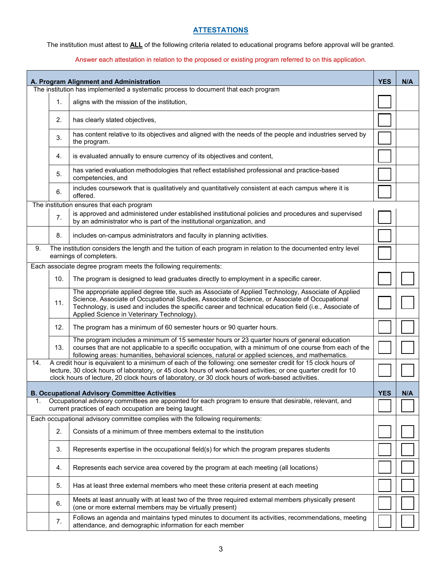# **ATTESTATIONS**

The institution must attest to **ALL** of the following criteria related to educational programs before approval will be granted.

#### Answer each attestation in relation to the proposed or existing program referred to on this application.

|     |     | A. Program Alignment and Administration                                                                                                                                                                                                                                                                                                                       | <b>YES</b> | N/A |
|-----|-----|---------------------------------------------------------------------------------------------------------------------------------------------------------------------------------------------------------------------------------------------------------------------------------------------------------------------------------------------------------------|------------|-----|
|     |     | The institution has implemented a systematic process to document that each program                                                                                                                                                                                                                                                                            |            |     |
|     | 1.  | aligns with the mission of the institution,                                                                                                                                                                                                                                                                                                                   |            |     |
|     | 2.  | has clearly stated objectives,                                                                                                                                                                                                                                                                                                                                |            |     |
|     | 3.  | has content relative to its objectives and aligned with the needs of the people and industries served by<br>the program.                                                                                                                                                                                                                                      |            |     |
|     | 4.  | is evaluated annually to ensure currency of its objectives and content,                                                                                                                                                                                                                                                                                       |            |     |
|     | 5.  | has varied evaluation methodologies that reflect established professional and practice-based<br>competencies, and                                                                                                                                                                                                                                             |            |     |
|     | 6.  | includes coursework that is qualitatively and quantitatively consistent at each campus where it is<br>offered.                                                                                                                                                                                                                                                |            |     |
|     |     | The institution ensures that each program                                                                                                                                                                                                                                                                                                                     |            |     |
|     | 7.  | is approved and administered under established institutional policies and procedures and supervised<br>by an administrator who is part of the institutional organization, and                                                                                                                                                                                 |            |     |
|     | 8.  | includes on-campus administrators and faculty in planning activities.                                                                                                                                                                                                                                                                                         |            |     |
| 9.  |     | The institution considers the length and the tuition of each program in relation to the documented entry level<br>earnings of completers.                                                                                                                                                                                                                     |            |     |
|     |     | Each associate degree program meets the following requirements:                                                                                                                                                                                                                                                                                               |            |     |
|     | 10. | The program is designed to lead graduates directly to employment in a specific career.                                                                                                                                                                                                                                                                        |            |     |
|     | 11. | The appropriate applied degree title, such as Associate of Applied Technology, Associate of Applied<br>Science, Associate of Occupational Studies, Associate of Science, or Associate of Occupational<br>Technology, is used and includes the specific career and technical education field (i.e., Associate of<br>Applied Science in Veterinary Technology). |            |     |
|     | 12. | The program has a minimum of 60 semester hours or 90 quarter hours.                                                                                                                                                                                                                                                                                           |            |     |
|     | 13. | The program includes a minimum of 15 semester hours or 23 quarter hours of general education<br>courses that are not applicable to a specific occupation, with a minimum of one course from each of the<br>following areas: humanities, behavioral sciences, natural or applied sciences, and mathematics.                                                    |            |     |
| 14. |     | A credit hour is equivalent to a minimum of each of the following: one semester credit for 15 clock hours of<br>lecture, 30 clock hours of laboratory, or 45 clock hours of work-based activities; or one quarter credit for 10<br>clock hours of lecture, 20 clock hours of laboratory, or 30 clock hours of work-based activities.                          |            |     |
|     |     | <b>B. Occupational Advisory Committee Activities</b>                                                                                                                                                                                                                                                                                                          | <b>YES</b> | N/A |
| 1.  |     | Occupational advisory committees are appointed for each program to ensure that desirable, relevant, and<br>current practices of each occupation are being taught.                                                                                                                                                                                             |            |     |
|     |     | Each occupational advisory committee complies with the following requirements:                                                                                                                                                                                                                                                                                |            |     |
|     | 2.  | Consists of a minimum of three members external to the institution                                                                                                                                                                                                                                                                                            |            |     |
|     | 3.  | Represents expertise in the occupational field(s) for which the program prepares students                                                                                                                                                                                                                                                                     |            |     |
|     | 4.  | Represents each service area covered by the program at each meeting (all locations)                                                                                                                                                                                                                                                                           |            |     |
|     | 5.  | Has at least three external members who meet these criteria present at each meeting                                                                                                                                                                                                                                                                           |            |     |
|     | 6.  | Meets at least annually with at least two of the three required external members physically present<br>(one or more external members may be virtually present)                                                                                                                                                                                                |            |     |
|     | 7.  | Follows an agenda and maintains typed minutes to document its activities, recommendations, meeting<br>attendance, and demographic information for each member                                                                                                                                                                                                 |            |     |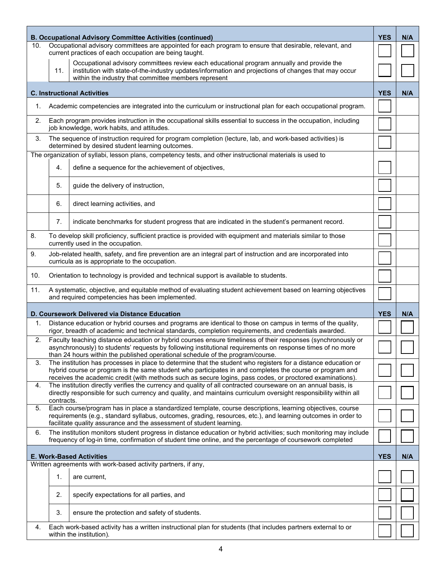|     |                  | <b>B. Occupational Advisory Committee Activities (continued)</b>                                                                                                                                                                                                                                                                        | <b>YES</b> | N/A |
|-----|------------------|-----------------------------------------------------------------------------------------------------------------------------------------------------------------------------------------------------------------------------------------------------------------------------------------------------------------------------------------|------------|-----|
| 10. |                  | Occupational advisory committees are appointed for each program to ensure that desirable, relevant, and<br>current practices of each occupation are being taught.                                                                                                                                                                       |            |     |
|     |                  | Occupational advisory committees review each educational program annually and provide the                                                                                                                                                                                                                                               |            |     |
|     | 11.              | institution with state-of-the-industry updates/information and projections of changes that may occur<br>within the industry that committee members represent                                                                                                                                                                            |            |     |
|     |                  | <b>C. Instructional Activities</b>                                                                                                                                                                                                                                                                                                      | <b>YES</b> | N/A |
| 1.  |                  | Academic competencies are integrated into the curriculum or instructional plan for each occupational program.                                                                                                                                                                                                                           |            |     |
| 2.  |                  | Each program provides instruction in the occupational skills essential to success in the occupation, including<br>job knowledge, work habits, and attitudes.                                                                                                                                                                            |            |     |
| 3.  |                  | The sequence of instruction required for program completion (lecture, lab, and work-based activities) is<br>determined by desired student learning outcomes.                                                                                                                                                                            |            |     |
|     |                  | The organization of syllabi, lesson plans, competency tests, and other instructional materials is used to                                                                                                                                                                                                                               |            |     |
|     | $\overline{4}$ . | define a sequence for the achievement of objectives,                                                                                                                                                                                                                                                                                    |            |     |
|     | 5.               | guide the delivery of instruction,                                                                                                                                                                                                                                                                                                      |            |     |
|     | 6.               | direct learning activities, and                                                                                                                                                                                                                                                                                                         |            |     |
|     | 7.               | indicate benchmarks for student progress that are indicated in the student's permanent record.                                                                                                                                                                                                                                          |            |     |
| 8.  |                  | To develop skill proficiency, sufficient practice is provided with equipment and materials similar to those<br>currently used in the occupation.                                                                                                                                                                                        |            |     |
| 9.  |                  | Job-related health, safety, and fire prevention are an integral part of instruction and are incorporated into<br>curricula as is appropriate to the occupation.                                                                                                                                                                         |            |     |
| 10. |                  | Orientation to technology is provided and technical support is available to students.                                                                                                                                                                                                                                                   |            |     |
| 11. |                  | A systematic, objective, and equitable method of evaluating student achievement based on learning objectives<br>and required competencies has been implemented.                                                                                                                                                                         |            |     |
|     |                  | D. Coursework Delivered via Distance Education                                                                                                                                                                                                                                                                                          | <b>YES</b> | N/A |
| 1.  |                  | Distance education or hybrid courses and programs are identical to those on campus in terms of the quality,<br>rigor, breadth of academic and technical standards, completion requirements, and credentials awarded.                                                                                                                    |            |     |
| 2.  |                  | Faculty teaching distance education or hybrid courses ensure timeliness of their responses (synchronously or<br>asynchronously) to students' requests by following institutional requirements on response times of no more                                                                                                              |            |     |
|     |                  | than 24 hours within the published operational schedule of the program/course.                                                                                                                                                                                                                                                          |            |     |
| 3.  |                  | The institution has processes in place to determine that the student who registers for a distance education or<br>hybrid course or program is the same student who participates in and completes the course or program and<br>receives the academic credit (with methods such as secure logins, pass codes, or proctored examinations). |            |     |
| 4.  |                  | The institution directly verifies the currency and quality of all contracted courseware on an annual basis, is                                                                                                                                                                                                                          |            |     |
|     | contracts.       | directly responsible for such currency and quality, and maintains curriculum oversight responsibility within all                                                                                                                                                                                                                        |            |     |
| 5.  |                  | Each course/program has in place a standardized template, course descriptions, learning objectives, course<br>requirements (e.g., standard syllabus, outcomes, grading, resources, etc.), and learning outcomes in order to<br>facilitate quality assurance and the assessment of student learning.                                     |            |     |
| 6.  |                  | The institution monitors student progress in distance education or hybrid activities; such monitoring may include<br>frequency of log-in time, confirmation of student time online, and the percentage of coursework completed                                                                                                          |            |     |
|     |                  | <b>E. Work-Based Activities</b>                                                                                                                                                                                                                                                                                                         | <b>YES</b> | N/A |
|     |                  | Written agreements with work-based activity partners, if any,                                                                                                                                                                                                                                                                           |            |     |
|     | 1.               | are current,                                                                                                                                                                                                                                                                                                                            |            |     |
|     | 2.               | specify expectations for all parties, and                                                                                                                                                                                                                                                                                               |            |     |
|     |                  | ensure the protection and safety of students.                                                                                                                                                                                                                                                                                           |            |     |
|     | 3.               |                                                                                                                                                                                                                                                                                                                                         |            |     |